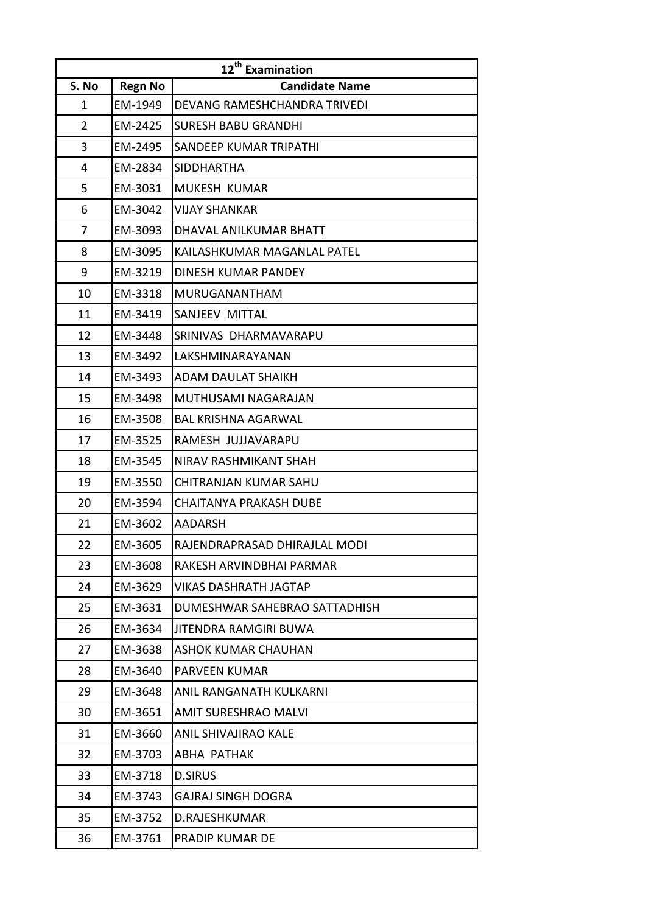| 12 <sup>th</sup> Examination |                |                               |
|------------------------------|----------------|-------------------------------|
| S. No                        | <b>Regn No</b> | <b>Candidate Name</b>         |
| 1                            | EM-1949        | DEVANG RAMESHCHANDRA TRIVEDI  |
| $\overline{2}$               | EM-2425        | <b>SURESH BABU GRANDHI</b>    |
| 3                            | EM-2495        | SANDEEP KUMAR TRIPATHI        |
| 4                            | EM-2834        | <b>SIDDHARTHA</b>             |
| 5                            | EM-3031        | MUKESH KUMAR                  |
| 6                            | EM-3042        | <b>VIJAY SHANKAR</b>          |
| 7                            | EM-3093        | DHAVAL ANILKUMAR BHATT        |
| 8                            | EM-3095        | KAILASHKUMAR MAGANLAL PATEL   |
| 9                            | EM-3219        | DINESH KUMAR PANDEY           |
| 10                           | EM-3318        | <b>MURUGANANTHAM</b>          |
| 11                           | EM-3419        | SANJEEV MITTAL                |
| 12                           | EM-3448        | SRINIVAS DHARMAVARAPU         |
| 13                           | EM-3492        | LAKSHMINARAYANAN              |
| 14                           | EM-3493        | ADAM DAULAT SHAIKH            |
| 15                           | EM-3498        | MUTHUSAMI NAGARAJAN           |
| 16                           | EM-3508        | <b>BAL KRISHNA AGARWAL</b>    |
| 17                           | EM-3525        | RAMESH JUJJAVARAPU            |
| 18                           | EM-3545        | NIRAV RASHMIKANT SHAH         |
| 19                           | EM-3550        | CHITRANJAN KUMAR SAHU         |
| 20                           | EM-3594        | <b>CHAITANYA PRAKASH DUBE</b> |
| 21                           | EM-3602        | <b>AADARSH</b>                |
| 22                           | EM-3605        | RAJENDRAPRASAD DHIRAJLAL MODI |
| 23                           | EM-3608        | RAKESH ARVINDBHAI PARMAR      |
| 24                           | EM-3629        | <b>VIKAS DASHRATH JAGTAP</b>  |
| 25                           | EM-3631        | DUMESHWAR SAHEBRAO SATTADHISH |
| 26                           | EM-3634        | <b>JITENDRA RAMGIRI BUWA</b>  |
| 27                           | EM-3638        | <b>ASHOK KUMAR CHAUHAN</b>    |
| 28                           | EM-3640        | PARVEEN KUMAR                 |
| 29                           | EM-3648        | ANIL RANGANATH KULKARNI       |
| 30                           | EM-3651        | <b>AMIT SURESHRAO MALVI</b>   |
| 31                           | EM-3660        | ANIL SHIVAJIRAO KALE          |
| 32                           | EM-3703        | ABHA PATHAK                   |
| 33                           | EM-3718        | <b>D.SIRUS</b>                |
| 34                           | EM-3743        | <b>GAJRAJ SINGH DOGRA</b>     |
| 35                           | EM-3752        | D.RAJESHKUMAR                 |
| 36                           | EM-3761        | PRADIP KUMAR DE               |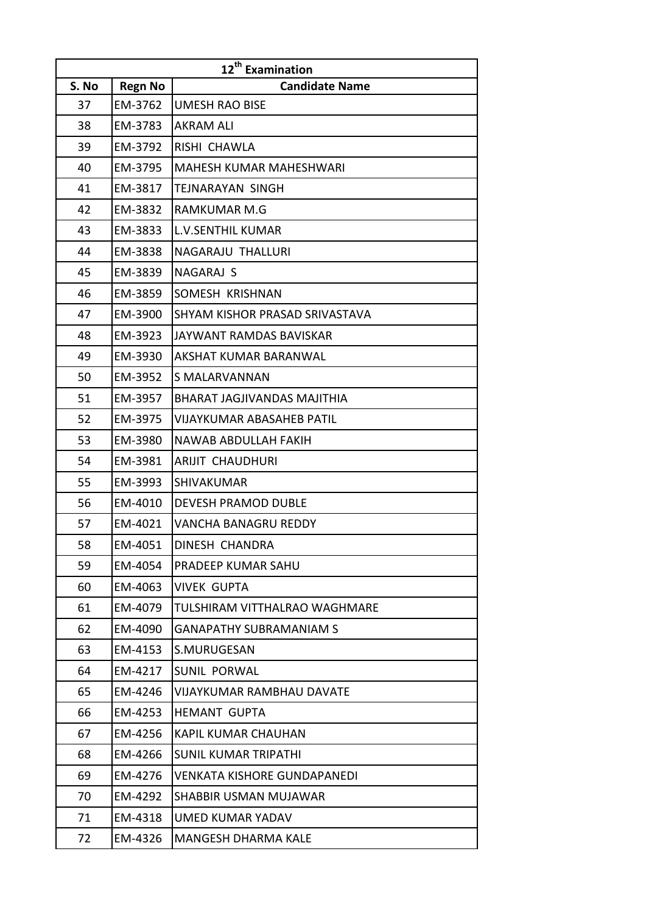| 12 <sup>th</sup> Examination |                |                                  |
|------------------------------|----------------|----------------------------------|
| S. No                        | <b>Regn No</b> | <b>Candidate Name</b>            |
| 37                           | EM-3762        | <b>UMESH RAO BISE</b>            |
| 38                           | EM-3783        | <b>AKRAM ALI</b>                 |
| 39                           | EM-3792        | RISHI CHAWLA                     |
| 40                           | EM-3795        | <b>MAHESH KUMAR MAHESHWARI</b>   |
| 41                           | EM-3817        | TEJNARAYAN SINGH                 |
| 42                           | EM-3832        | RAMKUMAR M.G                     |
| 43                           | EM-3833        | <b>L.V.SENTHIL KUMAR</b>         |
| 44                           | EM-3838        | NAGARAJU THALLURI                |
| 45                           | EM-3839        | NAGARAJ S                        |
| 46                           | EM-3859        | SOMESH KRISHNAN                  |
| 47                           | EM-3900        | SHYAM KISHOR PRASAD SRIVASTAVA   |
| 48                           | EM-3923        | JAYWANT RAMDAS BAVISKAR          |
| 49                           | EM-3930        | AKSHAT KUMAR BARANWAL            |
| 50                           | EM-3952        | S MALARVANNAN                    |
| 51                           | EM-3957        | BHARAT JAGJIVANDAS MAJITHIA      |
| 52                           | EM-3975        | VIJAYKUMAR ABASAHEB PATIL        |
| 53                           | EM-3980        | NAWAB ABDULLAH FAKIH             |
| 54                           | EM-3981        | ARIJIT CHAUDHURI                 |
| 55                           | EM-3993        | <b>SHIVAKUMAR</b>                |
| 56                           | EM-4010        | DEVESH PRAMOD DUBLE              |
| 57                           | EM-4021        | VANCHA BANAGRU REDDY             |
| 58                           | EM-4051        | DINESH CHANDRA                   |
| 59                           | EM-4054        | PRADEEP KUMAR SAHU               |
| 60                           | EM-4063        | VIVEK GUPTA                      |
| 61                           | EM-4079        | TULSHIRAM VITTHALRAO WAGHMARE    |
| 62                           | EM-4090        | <b>GANAPATHY SUBRAMANIAM S</b>   |
| 63                           | EM-4153        | S.MURUGESAN                      |
| 64                           | EM-4217        | <b>SUNIL PORWAL</b>              |
| 65                           | EM-4246        | <b>VIJAYKUMAR RAMBHAU DAVATE</b> |
| 66                           | EM-4253        | <b>HEMANT GUPTA</b>              |
| 67                           | EM-4256        | <b>KAPIL KUMAR CHAUHAN</b>       |
| 68                           | EM-4266        | <b>SUNIL KUMAR TRIPATHI</b>      |
| 69                           | EM-4276        | VENKATA KISHORE GUNDAPANEDI      |
| 70                           | EM-4292        | SHABBIR USMAN MUJAWAR            |
| 71                           | EM-4318        | UMED KUMAR YADAV                 |
| 72                           | EM-4326        | MANGESH DHARMA KALE              |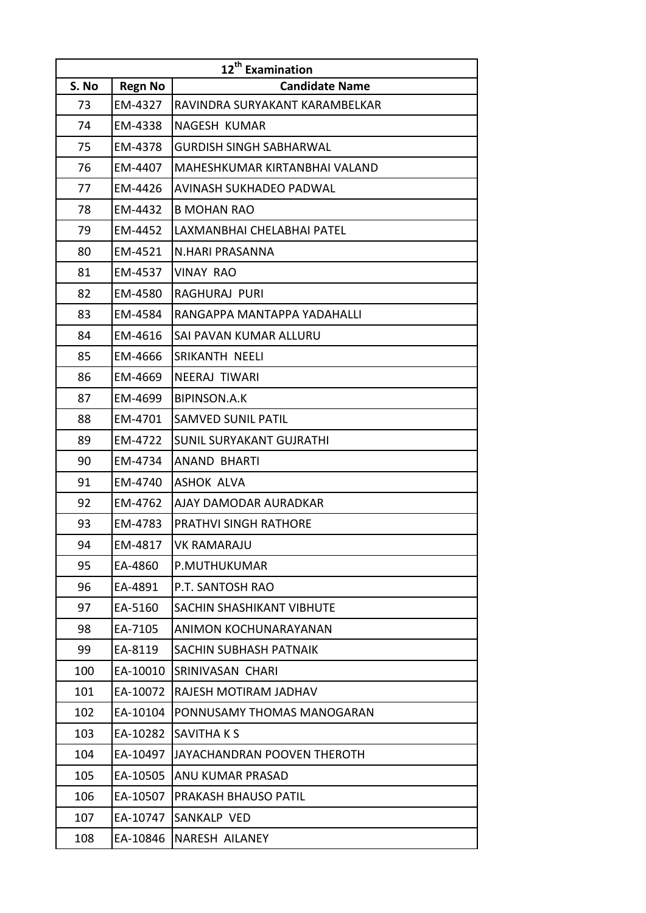| 12 <sup>th</sup> Examination |                |                                 |
|------------------------------|----------------|---------------------------------|
| S. No                        | <b>Regn No</b> | <b>Candidate Name</b>           |
| 73                           | EM-4327        | RAVINDRA SURYAKANT KARAMBELKAR  |
| 74                           | EM-4338        | NAGESH KUMAR                    |
| 75                           | EM-4378        | <b>GURDISH SINGH SABHARWAL</b>  |
| 76                           | EM-4407        | MAHESHKUMAR KIRTANBHAI VALAND   |
| 77                           | EM-4426        | AVINASH SUKHADEO PADWAL         |
| 78                           | EM-4432        | <b>B MOHAN RAO</b>              |
| 79                           | EM-4452        | LAXMANBHAI CHELABHAI PATEL      |
| 80                           | EM-4521        | N.HARI PRASANNA                 |
| 81                           | EM-4537        | <b>VINAY RAO</b>                |
| 82                           | EM-4580        | <b>RAGHURAJ PURI</b>            |
| 83                           | EM-4584        | RANGAPPA MANTAPPA YADAHALLI     |
| 84                           | EM-4616        | SAI PAVAN KUMAR ALLURU          |
| 85                           | EM-4666        | SRIKANTH NEELI                  |
| 86                           | EM-4669        | NEERAJ TIWARI                   |
| 87                           | EM-4699        | <b>BIPINSON.A.K</b>             |
| 88                           | EM-4701        | <b>SAMVED SUNIL PATIL</b>       |
| 89                           | EM-4722        | <b>SUNIL SURYAKANT GUJRATHI</b> |
| 90                           | EM-4734        | ANAND BHARTI                    |
| 91                           | EM-4740        | <b>ASHOK ALVA</b>               |
| 92                           | EM-4762        | AJAY DAMODAR AURADKAR           |
| 93                           | EM-4783        | <b>PRATHVI SINGH RATHORE</b>    |
| 94                           | EM-4817        | <b>VK RAMARAJU</b>              |
| 95                           | EA-4860        | P.MUTHUKUMAR                    |
| 96                           | EA-4891        | P.T. SANTOSH RAO                |
| 97                           | EA-5160        | SACHIN SHASHIKANT VIBHUTE       |
| 98                           | EA-7105        | ANIMON KOCHUNARAYANAN           |
| 99                           | EA-8119        | SACHIN SUBHASH PATNAIK          |
| 100                          | EA-10010       | SRINIVASAN CHARI                |
| 101                          | EA-10072       | RAJESH MOTIRAM JADHAV           |
| 102                          | EA-10104       | PONNUSAMY THOMAS MANOGARAN      |
| 103                          | EA-10282       | SAVITHA K S                     |
| 104                          | EA-10497       | JAYACHANDRAN POOVEN THEROTH     |
| 105                          | EA-10505       | ANU KUMAR PRASAD                |
| 106                          | EA-10507       | PRAKASH BHAUSO PATIL            |
| 107                          | EA-10747       | SANKALP VED                     |
| 108                          | EA-10846       | NARESH AILANEY                  |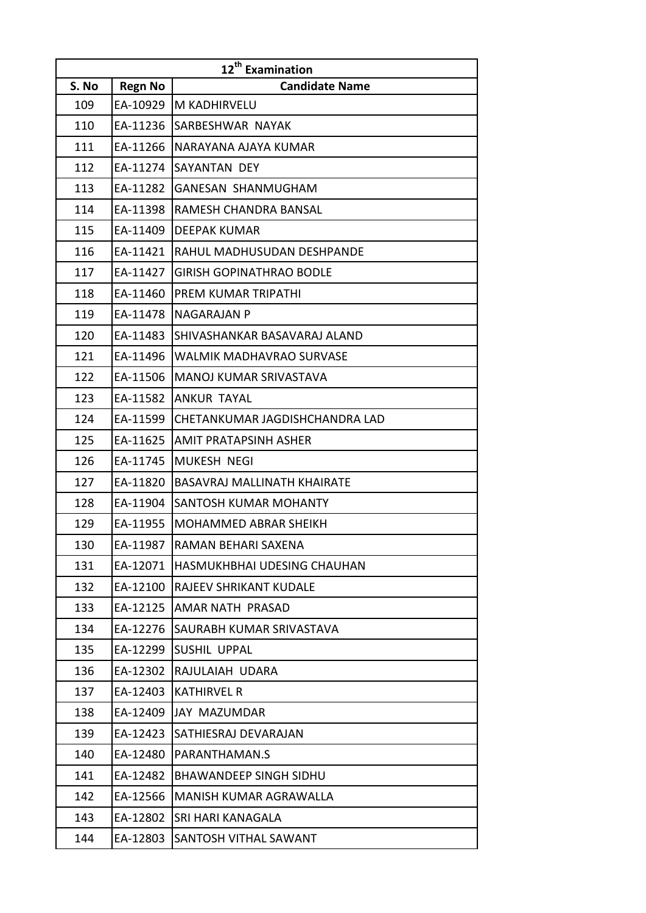| 12 <sup>th</sup> Examination |                |                                    |
|------------------------------|----------------|------------------------------------|
| S. No                        | <b>Regn No</b> | <b>Candidate Name</b>              |
| 109                          | EA-10929       | M KADHIRVELU                       |
| 110                          | EA-11236       | SARBESHWAR NAYAK                   |
| 111                          | EA-11266       | NARAYANA AJAYA KUMAR               |
| 112                          | EA-11274       | SAYANTAN DEY                       |
| 113                          | EA-11282       | <b>GANESAN SHANMUGHAM</b>          |
| 114                          | EA-11398       | RAMESH CHANDRA BANSAL              |
| 115                          | EA-11409       | <b>DEEPAK KUMAR</b>                |
| 116                          | EA-11421       | RAHUL MADHUSUDAN DESHPANDE         |
| 117                          | EA-11427       | <b>GIRISH GOPINATHRAO BODLE</b>    |
| 118                          | EA-11460       | <b>PREM KUMAR TRIPATHI</b>         |
| 119                          | EA-11478       | <b>NAGARAJAN P</b>                 |
| 120                          | EA-11483       | SHIVASHANKAR BASAVARAJ ALAND       |
| 121                          | EA-11496       | <b>WALMIK MADHAVRAO SURVASE</b>    |
| 122                          | EA-11506       | <b>MANOJ KUMAR SRIVASTAVA</b>      |
| 123                          | EA-11582       | <b>ANKUR TAYAL</b>                 |
| 124                          | EA-11599       | CHETANKUMAR JAGDISHCHANDRA LAD     |
| 125                          | EA-11625       | AMIT PRATAPSINH ASHER              |
| 126                          | EA-11745       | MUKESH NEGI                        |
| 127                          | EA-11820       | <b>BASAVRAJ MALLINATH KHAIRATE</b> |
| 128                          | EA-11904       | <b>SANTOSH KUMAR MOHANTY</b>       |
| 129                          | EA-11955       | MOHAMMED ABRAR SHEIKH              |
| 130                          | EA-11987       | RAMAN BEHARI SAXENA                |
| 131                          | EA-12071       | HASMUKHBHAI UDESING CHAUHAN        |
| 132                          | EA-12100       | RAJEEV SHRIKANT KUDALE             |
| 133                          | EA-12125       | AMAR NATH PRASAD                   |
| 134                          | EA-12276       | <b>SAURABH KUMAR SRIVASTAVA</b>    |
| 135                          | EA-12299       | <b>SUSHIL UPPAL</b>                |
| 136                          | EA-12302       | RAJULAIAH UDARA                    |
| 137                          | EA-12403       | <b>KATHIRVEL R</b>                 |
| 138                          | EA-12409       | <b>JAY MAZUMDAR</b>                |
| 139                          | EA-12423       | SATHIESRAJ DEVARAJAN               |
| 140                          | EA-12480       | PARANTHAMAN.S                      |
| 141                          | EA-12482       | <b>BHAWANDEEP SINGH SIDHU</b>      |
| 142                          | EA-12566       | MANISH KUMAR AGRAWALLA             |
| 143                          | EA-12802       | <b>SRI HARI KANAGALA</b>           |
| 144                          | EA-12803       | <b>SANTOSH VITHAL SAWANT</b>       |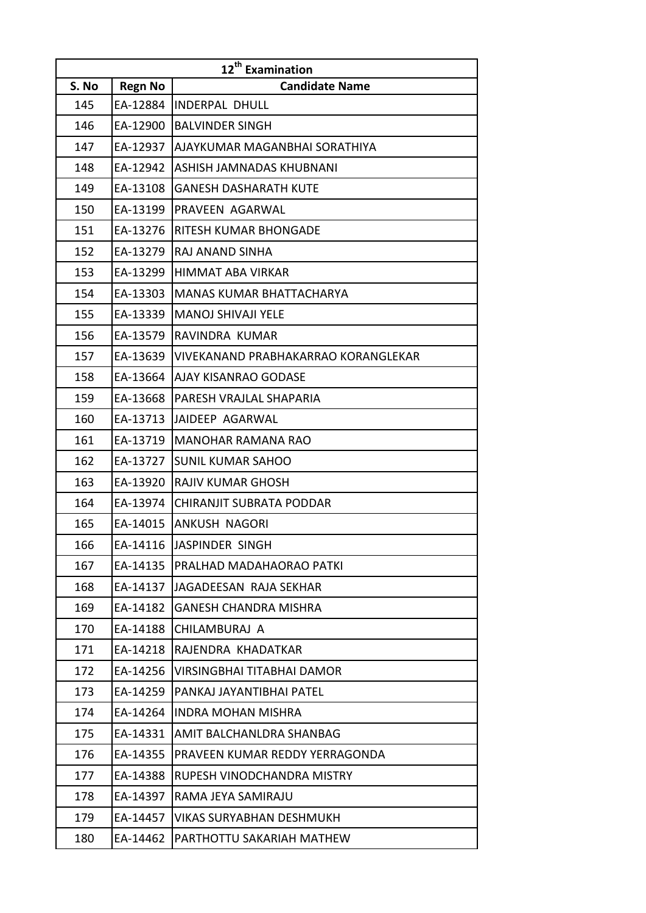| 12 <sup>th</sup> Examination |          |                                     |
|------------------------------|----------|-------------------------------------|
| S. No                        | Regn No  | <b>Candidate Name</b>               |
| 145                          | EA-12884 | <b>INDERPAL DHULL</b>               |
| 146                          | EA-12900 | <b>BALVINDER SINGH</b>              |
| 147                          | EA-12937 | AJAYKUMAR MAGANBHAI SORATHIYA       |
| 148                          | EA-12942 | ASHISH JAMNADAS KHUBNANI            |
| 149                          | EA-13108 | <b>GANESH DASHARATH KUTE</b>        |
| 150                          | EA-13199 | PRAVEEN AGARWAL                     |
| 151                          | EA-13276 | RITESH KUMAR BHONGADE               |
| 152                          | EA-13279 | RAJ ANAND SINHA                     |
| 153                          | EA-13299 | <b>HIMMAT ABA VIRKAR</b>            |
| 154                          | EA-13303 | <b>MANAS KUMAR BHATTACHARYA</b>     |
| 155                          | EA-13339 | <b>MANOJ SHIVAJI YELE</b>           |
| 156                          | EA-13579 | RAVINDRA KUMAR                      |
| 157                          | EA-13639 | VIVEKANAND PRABHAKARRAO KORANGLEKAR |
| 158                          | EA-13664 | AJAY KISANRAO GODASE                |
| 159                          | EA-13668 | PARESH VRAJLAL SHAPARIA             |
| 160                          | EA-13713 | JAIDEEP AGARWAL                     |
| 161                          | EA-13719 | <b>MANOHAR RAMANA RAO</b>           |
| 162                          | EA-13727 | <b>SUNIL KUMAR SAHOO</b>            |
| 163                          | EA-13920 | <b>RAJIV KUMAR GHOSH</b>            |
| 164                          | EA-13974 | CHIRANJIT SUBRATA PODDAR            |
| 165                          | EA-14015 | <b>ANKUSH NAGORI</b>                |
| 166                          | EA-14116 | JASPINDER SINGH                     |
| 167                          | EA-14135 | PRALHAD MADAHAORAO PATKI            |
| 168                          | EA-14137 | JAGADEESAN RAJA SEKHAR              |
| 169                          | EA-14182 | GANESH CHANDRA MISHRA               |
| 170                          | EA-14188 | CHILAMBURAJ A                       |
| 171                          | EA-14218 | RAJENDRA KHADATKAR                  |
| 172                          | EA-14256 | VIRSINGBHAI TITABHAI DAMOR          |
| 173                          | EA-14259 | PANKAJ JAYANTIBHAI PATEL            |
| 174                          | EA-14264 | <b>INDRA MOHAN MISHRA</b>           |
| 175                          | EA-14331 | AMIT BALCHANLDRA SHANBAG            |
| 176                          | EA-14355 | PRAVEEN KUMAR REDDY YERRAGONDA      |
| 177                          | EA-14388 | RUPESH VINODCHANDRA MISTRY          |
| 178                          | EA-14397 | RAMA JEYA SAMIRAJU                  |
| 179                          | EA-14457 | <b>VIKAS SURYABHAN DESHMUKH</b>     |
| 180                          | EA-14462 | PARTHOTTU SAKARIAH MATHEW           |